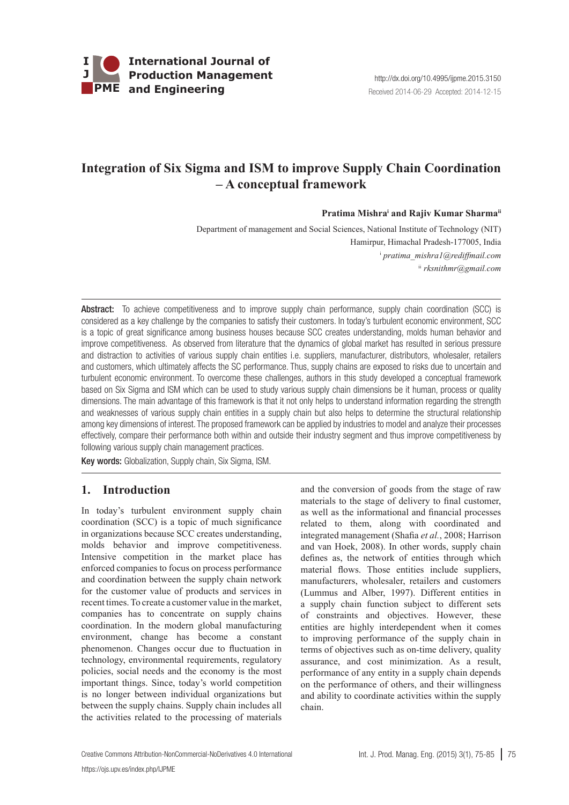

# **Integration of Six Sigma and ISM to improve Supply Chain Coordination – A conceptual framework**

#### Pratima Mishra<sup>i</sup> and Rajiv Kumar Sharma<sup>ii</sup>

Department of management and Social Sciences, National Institute of Technology (NIT) Hamirpur, Himachal Pradesh-177005, India i  *pratima\_mishra1@rediffmail.com* ii *rksnithmr@gmail.com*

Abstract: To achieve competitiveness and to improve supply chain performance, supply chain coordination (SCC) is considered as a key challenge by the companies to satisfy their customers. In today's turbulent economic environment, SCC is a topic of great significance among business houses because SCC creates understanding, molds human behavior and improve competitiveness. As observed from literature that the dynamics of global market has resulted in serious pressure and distraction to activities of various supply chain entities i.e. suppliers, manufacturer, distributors, wholesaler, retailers and customers, which ultimately affects the SC performance. Thus, supply chains are exposed to risks due to uncertain and turbulent economic environment. To overcome these challenges, authors in this study developed a conceptual framework based on Six Sigma and ISM which can be used to study various supply chain dimensions be it human, process or quality dimensions. The main advantage of this framework is that it not only helps to understand information regarding the strength and weaknesses of various supply chain entities in a supply chain but also helps to determine the structural relationship among key dimensions of interest. The proposed framework can be applied by industries to model and analyze their processes effectively, compare their performance both within and outside their industry segment and thus improve competitiveness by following various supply chain management practices.

Key words: Globalization, Supply chain, Six Sigma, ISM.

## **1. Introduction**

In today's turbulent environment supply chain coordination (SCC) is a topic of much significance in organizations because SCC creates understanding, molds behavior and improve competitiveness. Intensive competition in the market place has enforced companies to focus on process performance and coordination between the supply chain network for the customer value of products and services in recent times. To create a customer value in the market, companies has to concentrate on supply chains coordination. In the modern global manufacturing environment, change has become a constant phenomenon. Changes occur due to fluctuation in technology, environmental requirements, regulatory policies, social needs and the economy is the most important things. Since, today's world competition is no longer between individual organizations but between the supply chains. Supply chain includes all the activities related to the processing of materials and the conversion of goods from the stage of raw materials to the stage of delivery to final customer, as well as the informational and financial processes related to them, along with coordinated and integrated management (Shafia *et al.*, 2008; Harrison and van Hoek, 2008). In other words, supply chain defines as, the network of entities through which material flows. Those entities include suppliers, manufacturers, wholesaler, retailers and customers (Lummus and Alber, 1997). Different entities in a supply chain function subject to different sets of constraints and objectives. However, these entities are highly interdependent when it comes to improving performance of the supply chain in terms of objectives such as on-time delivery, quality assurance, and cost minimization. As a result, performance of any entity in a supply chain depends on the performance of others, and their willingness and ability to coordinate activities within the supply chain.

Creative Commons [Attribution-NonCommercial-NoDerivatives 4.0 International](http://creativecommons.org/licenses/by-nc-nd/4.0/) Int. J. Prod. Manag. Eng. (2015) 3(1), 75-85 75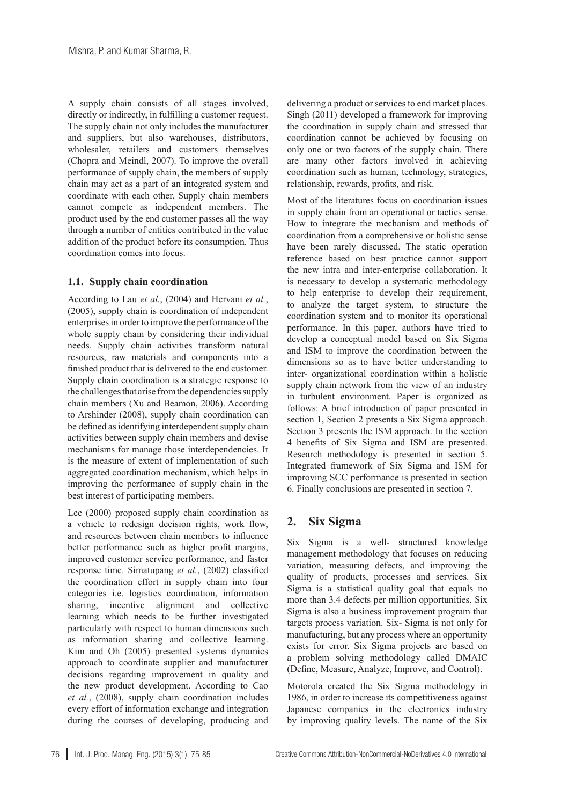A supply chain consists of all stages involved, directly or indirectly, in fulfilling a customer request. The supply chain not only includes the manufacturer and suppliers, but also warehouses, distributors, wholesaler, retailers and customers themselves (Chopra and Meindl, 2007). To improve the overall performance of supply chain, the members of supply chain may act as a part of an integrated system and coordinate with each other. Supply chain members cannot compete as independent members. The product used by the end customer passes all the way through a number of entities contributed in the value addition of the product before its consumption. Thus coordination comes into focus.

#### **1.1. Supply chain coordination**

According to Lau *et al.*, (2004) and Hervani *et al.*, (2005), supply chain is coordination of independent enterprises in order to improve the performance of the whole supply chain by considering their individual needs. Supply chain activities transform natural resources, raw materials and components into a finished product that is delivered to the end customer. Supply chain coordination is a strategic response to the challenges that arise from the dependencies supply chain members (Xu and Beamon, 2006). According to Arshinder (2008), supply chain coordination can be defined as identifying interdependent supply chain activities between supply chain members and devise mechanisms for manage those interdependencies. It is the measure of extent of implementation of such aggregated coordination mechanism, which helps in improving the performance of supply chain in the best interest of participating members.

Lee (2000) proposed supply chain coordination as a vehicle to redesign decision rights, work flow, and resources between chain members to influence better performance such as higher profit margins, improved customer service performance, and faster response time. Simatupang *et al.*, (2002) classified the coordination effort in supply chain into four categories i.e. logistics coordination, information sharing, incentive alignment and collective learning which needs to be further investigated particularly with respect to human dimensions such as information sharing and collective learning. Kim and Oh (2005) presented systems dynamics approach to coordinate supplier and manufacturer decisions regarding improvement in quality and the new product development. According to Cao *et al.*, (2008), supply chain coordination includes every effort of information exchange and integration during the courses of developing, producing and

delivering a product or services to end market places. Singh (2011) developed a framework for improving the coordination in supply chain and stressed that coordination cannot be achieved by focusing on only one or two factors of the supply chain. There are many other factors involved in achieving coordination such as human, technology, strategies, relationship, rewards, profits, and risk.

Most of the literatures focus on coordination issues in supply chain from an operational or tactics sense. How to integrate the mechanism and methods of coordination from a comprehensive or holistic sense have been rarely discussed. The static operation reference based on best practice cannot support the new intra and inter-enterprise collaboration. It is necessary to develop a systematic methodology to help enterprise to develop their requirement, to analyze the target system, to structure the coordination system and to monitor its operational performance. In this paper, authors have tried to develop a conceptual model based on Six Sigma and ISM to improve the coordination between the dimensions so as to have better understanding to inter- organizational coordination within a holistic supply chain network from the view of an industry in turbulent environment. Paper is organized as follows: A brief introduction of paper presented in section 1, Section 2 presents a Six Sigma approach. Section 3 presents the ISM approach. In the section 4 benefits of Six Sigma and ISM are presented. Research methodology is presented in section 5. Integrated framework of Six Sigma and ISM for improving SCC performance is presented in section 6. Finally conclusions are presented in section 7.

## **2. Six Sigma**

Six Sigma is a well- structured knowledge management methodology that focuses on reducing variation, measuring defects, and improving the quality of products, processes and services. Six Sigma is a statistical quality goal that equals no more than 3.4 defects per million opportunities. Six Sigma is also a business improvement program that targets process variation. Six- Sigma is not only for manufacturing, but any process where an opportunity exists for error. Six Sigma projects are based on a problem solving methodology called DMAIC (Define, Measure, Analyze, Improve, and Control).

Motorola created the Six Sigma methodology in 1986, in order to increase its competitiveness against Japanese companies in the electronics industry by improving quality levels. The name of the Six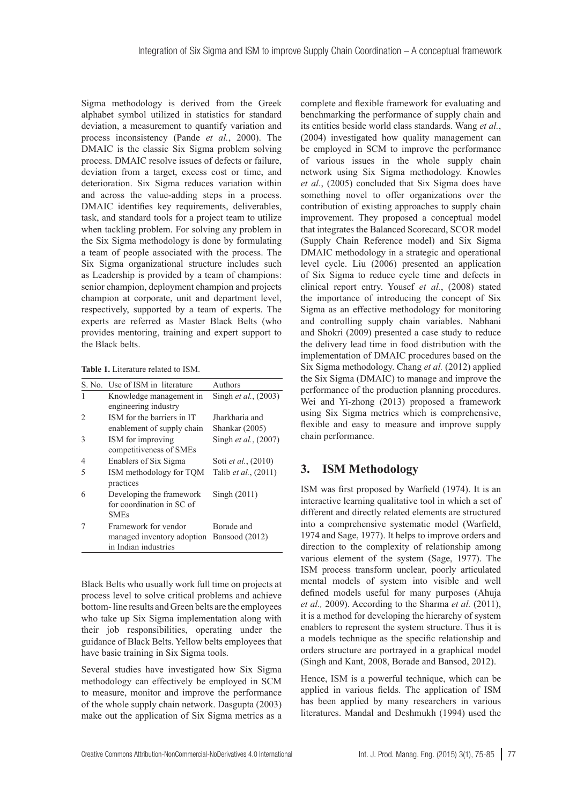Sigma methodology is derived from the Greek alphabet symbol utilized in statistics for standard deviation, a measurement to quantify variation and process inconsistency (Pande *et al.*, 2000). The DMAIC is the classic Six Sigma problem solving process. DMAIC resolve issues of defects or failure, deviation from a target, excess cost or time, and deterioration. Six Sigma reduces variation within and across the value-adding steps in a process. DMAIC identifies key requirements, deliverables, task, and standard tools for a project team to utilize when tackling problem. For solving any problem in the Six Sigma methodology is done by formulating a team of people associated with the process. The Six Sigma organizational structure includes such as Leadership is provided by a team of champions: senior champion, deployment champion and projects champion at corporate, unit and department level, respectively, supported by a team of experts. The experts are referred as Master Black Belts (who provides mentoring, training and expert support to the Black belts.

**Table 1.** Literature related to ISM.

| S. No. | Use of ISM in literature   | Authors                     |  |  |  |  |  |  |  |  |
|--------|----------------------------|-----------------------------|--|--|--|--|--|--|--|--|
|        | Knowledge management in    | Singh et al., (2003)        |  |  |  |  |  |  |  |  |
|        | engineering industry       |                             |  |  |  |  |  |  |  |  |
|        | ISM for the barriers in IT | Jharkharia and              |  |  |  |  |  |  |  |  |
|        | enablement of supply chain | Shankar (2005)              |  |  |  |  |  |  |  |  |
| 3      | ISM for improving          | Singh et al., (2007)        |  |  |  |  |  |  |  |  |
|        | competitiveness of SMEs    |                             |  |  |  |  |  |  |  |  |
| 4      | Enablers of Six Sigma      | Soti <i>et al.</i> , (2010) |  |  |  |  |  |  |  |  |
| 5      | ISM methodology for TQM    | Talib et al., (2011)        |  |  |  |  |  |  |  |  |
|        | practices                  |                             |  |  |  |  |  |  |  |  |
| 6      | Developing the framework   | Singh $(2011)$              |  |  |  |  |  |  |  |  |
|        | for coordination in SC of  |                             |  |  |  |  |  |  |  |  |
|        | <b>SMEs</b>                |                             |  |  |  |  |  |  |  |  |
|        | Framework for vendor       | Borade and                  |  |  |  |  |  |  |  |  |
|        | managed inventory adoption | Bansood (2012)              |  |  |  |  |  |  |  |  |
|        | in Indian industries       |                             |  |  |  |  |  |  |  |  |

Black Belts who usually work full time on projects at process level to solve critical problems and achieve bottom- line results and Green belts are the employees who take up Six Sigma implementation along with their job responsibilities, operating under the guidance of Black Belts. Yellow belts employees that have basic training in Six Sigma tools.

Several studies have investigated how Six Sigma methodology can effectively be employed in SCM to measure, monitor and improve the performance of the whole supply chain network. Dasgupta (2003) make out the application of Six Sigma metrics as a complete and flexible framework for evaluating and benchmarking the performance of supply chain and its entities beside world class standards. Wang *et al.*, (2004) investigated how quality management can be employed in SCM to improve the performance of various issues in the whole supply chain network using Six Sigma methodology. Knowles *et al.*, (2005) concluded that Six Sigma does have something novel to offer organizations over the contribution of existing approaches to supply chain improvement. They proposed a conceptual model that integrates the Balanced Scorecard, SCOR model (Supply Chain Reference model) and Six Sigma DMAIC methodology in a strategic and operational level cycle. Liu (2006) presented an application of Six Sigma to reduce cycle time and defects in clinical report entry. Yousef *et al.*, (2008) stated the importance of introducing the concept of Six Sigma as an effective methodology for monitoring and controlling supply chain variables. Nabhani and Shokri (2009) presented a case study to reduce the delivery lead time in food distribution with the implementation of DMAIC procedures based on the Six Sigma methodology. Chang *et al.* (2012) applied the Six Sigma (DMAIC) to manage and improve the performance of the production planning procedures. Wei and Yi-zhong (2013) proposed a framework using Six Sigma metrics which is comprehensive, flexible and easy to measure and improve supply chain performance.

# **3. ISM Methodology**

ISM was first proposed by Warfield (1974). It is an interactive learning qualitative tool in which a set of different and directly related elements are structured into a comprehensive systematic model (Warfield, 1974 and Sage, 1977). It helps to improve orders and direction to the complexity of relationship among various element of the system (Sage, 1977). The ISM process transform unclear, poorly articulated mental models of system into visible and well defined models useful for many purposes (Ahuja *et al.,* 2009). According to the Sharma *et al.* (2011), it is a method for developing the hierarchy of system enablers to represent the system structure. Thus it is a models technique as the specific relationship and orders structure are portrayed in a graphical model (Singh and Kant, 2008, Borade and Bansod, 2012).

Hence, ISM is a powerful technique, which can be applied in various fields. The application of ISM has been applied by many researchers in various literatures. Mandal and Deshmukh (1994) used the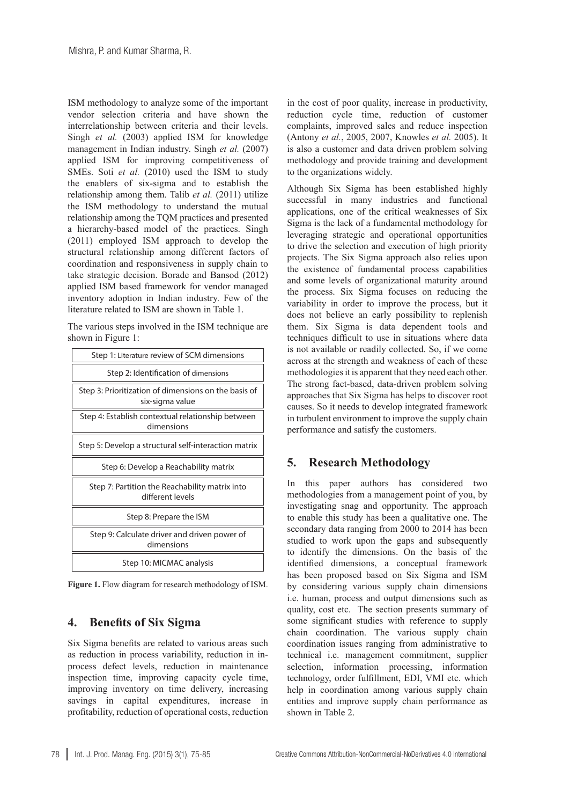ISM methodology to analyze some of the important vendor selection criteria and have shown the interrelationship between criteria and their levels. Singh *et al.* (2003) applied ISM for knowledge management in Indian industry. Singh *et al.* (2007) applied ISM for improving competitiveness of SMEs. Soti *et al.* (2010) used the ISM to study the enablers of six-sigma and to establish the relationship among them. Talib *et al.* (2011) utilize the ISM methodology to understand the mutual relationship among the TQM practices and presented a hierarchy-based model of the practices. Singh (2011) employed ISM approach to develop the structural relationship among different factors of coordination and responsiveness in supply chain to take strategic decision. Borade and Bansod (2012) applied ISM based framework for vendor managed inventory adoption in Indian industry. Few of the literature related to ISM are shown in Table 1.

The various steps involved in the ISM technique are shown in Figure 1:

| Step 1: Literature review of SCM dimensions                             |
|-------------------------------------------------------------------------|
| Step 2: Identification of dimensions                                    |
| Step 3: Prioritization of dimensions on the basis of<br>six-sigma value |
| Step 4: Establish contextual relationship between<br>dimensions         |
| Step 5: Develop a structural self-interaction matrix                    |
| Step 6: Develop a Reachability matrix                                   |
| Step 7: Partition the Reachability matrix into<br>different levels      |
| Step 8: Prepare the ISM                                                 |
| Step 9: Calculate driver and driven power of<br>dimensions              |
| Step 10: MICMAC analysis                                                |

**Figure 1.** Flow diagram for research methodology of ISM.

## **4. Benefits of Six Sigma**

Six Sigma benefits are related to various areas such as reduction in process variability, reduction in inprocess defect levels, reduction in maintenance inspection time, improving capacity cycle time, improving inventory on time delivery, increasing savings in capital expenditures, increase in profitability, reduction of operational costs, reduction

in the cost of poor quality, increase in productivity, reduction cycle time, reduction of customer complaints, improved sales and reduce inspection (Antony *et al.*, 2005, 2007, Knowles *et al.* 2005). It is also a customer and data driven problem solving methodology and provide training and development to the organizations widely.

Although Six Sigma has been established highly successful in many industries and functional applications, one of the critical weaknesses of Six Sigma is the lack of a fundamental methodology for leveraging strategic and operational opportunities to drive the selection and execution of high priority projects. The Six Sigma approach also relies upon the existence of fundamental process capabilities and some levels of organizational maturity around the process. Six Sigma focuses on reducing the variability in order to improve the process, but it does not believe an early possibility to replenish them. Six Sigma is data dependent tools and techniques difficult to use in situations where data is not available or readily collected. So, if we come across at the strength and weakness of each of these methodologies it is apparent that they need each other. The strong fact-based, data-driven problem solving approaches that Six Sigma has helps to discover root causes. So it needs to develop integrated framework in turbulent environment to improve the supply chain performance and satisfy the customers.

## **5. Research Methodology**

In this paper authors has considered two methodologies from a management point of you, by investigating snag and opportunity. The approach to enable this study has been a qualitative one. The secondary data ranging from 2000 to 2014 has been studied to work upon the gaps and subsequently to identify the dimensions. On the basis of the identified dimensions, a conceptual framework has been proposed based on Six Sigma and ISM by considering various supply chain dimensions i.e. human, process and output dimensions such as quality, cost etc. The section presents summary of some significant studies with reference to supply chain coordination. The various supply chain coordination issues ranging from administrative to technical i.e. management commitment, supplier selection, information processing, information technology, order fulfillment, EDI, VMI etc. which help in coordination among various supply chain entities and improve supply chain performance as shown in Table 2.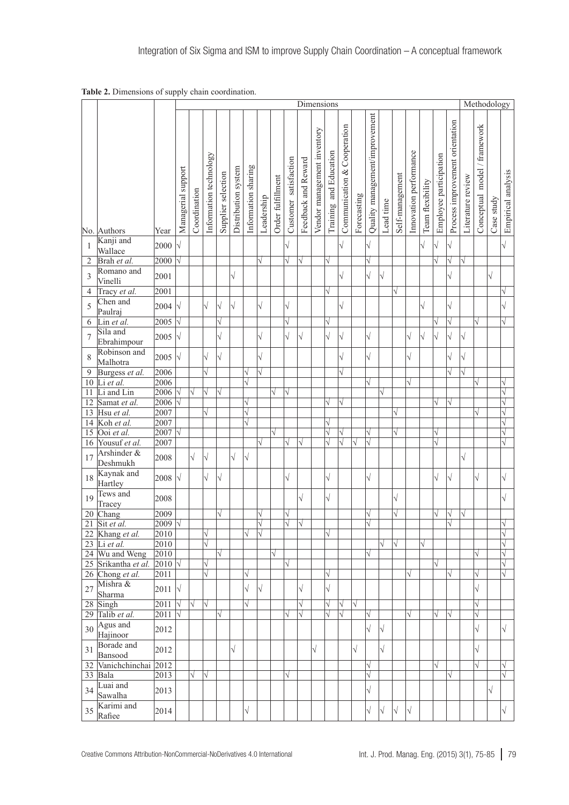**Table 2.** Dimensions of supply chain coordination.

|                |                          |                  |                    | Dimensions   |                        |                    |                     |                     |            |                   |                       |                     |                             |                        |                                |             |                                |            | Methodology     |                        |                  |                        |                                 |                   |                              |            |                    |
|----------------|--------------------------|------------------|--------------------|--------------|------------------------|--------------------|---------------------|---------------------|------------|-------------------|-----------------------|---------------------|-----------------------------|------------------------|--------------------------------|-------------|--------------------------------|------------|-----------------|------------------------|------------------|------------------------|---------------------------------|-------------------|------------------------------|------------|--------------------|
|                | No. Authors              | Year             | Managerial support | Coordination | Information technology | Supplier selection | Distribution system | Information sharing | Leadership | Order fulfillment | Customer satisfaction | Feedback and Reward | Vendor management inventory | Training and Education | Cooperation<br>Communication & | Forecasting | Quality management/improvement | Lead time  | Self-management | Innovation performance | Team flexibility | Employee participation | Process improvement orientation | Literature review | Conceptual model / framework | Case study | Empirical analysis |
| 1              | Kanji and<br>Wallace     | 2000             | $\sqrt{}$          |              |                        |                    |                     |                     |            |                   | $\sqrt{}$             |                     |                             |                        | $\sqrt{}$                      |             | $\sqrt{\phantom{a}}$           |            |                 |                        | $\sqrt{}$        | $\sqrt{}$              | $\sqrt{\phantom{a}}$            |                   |                              |            | $\sqrt{ }$         |
| $\overline{c}$ | Brah et al.              | 2000             | $\sqrt{}$          |              |                        |                    |                     |                     | $\sqrt{}$  |                   | V                     | $\sqrt{}$           |                             | √                      |                                |             |                                |            |                 |                        |                  | V                      | Ń                               | $\sqrt{}$         |                              |            |                    |
| 3              | Romano and<br>Vinelli    | 2001             |                    |              |                        |                    | $\sqrt{}$           |                     |            |                   |                       |                     |                             |                        | $\sqrt{}$                      |             | $\sqrt{2}$                     | $\sqrt{ }$ |                 |                        |                  |                        | $\sqrt{2}$                      |                   |                              | $\sqrt{2}$ |                    |
| 4              | Tracy et al.             | 2001             |                    |              |                        |                    |                     |                     |            |                   |                       |                     |                             | $\sqrt{}$              |                                |             |                                |            | $\sqrt{}$       |                        |                  |                        |                                 |                   |                              |            |                    |
| 5              | Chen and<br>Paulraj      | 2004             | $\sqrt{}$          |              | $\sqrt{}$              | $\sqrt{ }$         | $\sqrt{}$           |                     | $\sqrt{}$  |                   | $\sqrt{ }$            |                     |                             |                        | $\sqrt{2}$                     |             |                                |            |                 |                        | $\sqrt{2}$       |                        | $\sqrt{\phantom{a}}$            |                   |                              |            |                    |
| 6              | Lin et al.               | 2005             | $\sqrt{}$          |              |                        | $\sqrt{}$          |                     |                     |            |                   | V                     |                     |                             | $\sqrt{}$              |                                |             |                                |            |                 |                        |                  |                        | V                               |                   | $\sqrt{}$                    |            |                    |
| $\overline{7}$ | Sila and<br>Ebrahimpour  | 2005             | $\sqrt{}$          |              |                        | $\sqrt{2}$         |                     |                     | $\sqrt{}$  |                   | $\sqrt{}$             | $\sqrt{}$           |                             | $\sqrt{}$              | $\sqrt{}$                      |             | $\sqrt{ }$                     |            |                 | $\sqrt{}$              | $\sqrt{2}$       | $\sqrt{}$              |                                 | $\sqrt{}$         |                              |            |                    |
| 8              | Robinson and<br>Malhotra | 2005             | $\sqrt{}$          |              | $\sqrt{}$              | $\sqrt{2}$         |                     |                     | $\sqrt{2}$ |                   |                       |                     |                             |                        | $\sqrt{}$                      |             | $\sqrt{2}$                     |            |                 | $\sqrt{}$              |                  |                        | $\sqrt{}$                       | $\sqrt{}$         |                              |            |                    |
| 9              | Burgess et al.           | 2006             |                    |              | $\sqrt{}$              |                    |                     | V                   | $\sqrt{}$  |                   |                       |                     |                             |                        | $\sqrt{}$                      |             |                                |            |                 |                        |                  |                        | V                               | $\sqrt{}$         |                              |            |                    |
|                | $10$ Li et al.           | 2006             |                    |              |                        |                    |                     | $\sqrt{}$           |            |                   |                       |                     |                             |                        |                                |             |                                |            |                 | $\sqrt{}$              |                  |                        |                                 |                   | $\sqrt{}$                    |            |                    |
|                | 11 Li and Lin            | $2006 \sqrt{}$   |                    |              |                        | $\sqrt{}$          |                     |                     |            |                   | V                     |                     |                             |                        |                                |             |                                | $\sqrt{}$  |                 |                        |                  |                        |                                 |                   |                              |            |                    |
| 12             | Samat et al.             | 2006             | $\sqrt{}$          |              |                        |                    |                     | $\sqrt{}$           |            |                   |                       |                     |                             | V                      | $\sqrt{}$                      |             |                                |            |                 |                        |                  | V                      |                                 |                   |                              |            | V                  |
|                |                          |                  |                    |              | $\sqrt{}$              |                    |                     |                     |            |                   |                       |                     |                             |                        |                                |             |                                |            |                 |                        |                  |                        |                                 |                   |                              |            |                    |
|                | 13 Hsu et al.            | 2007             |                    |              |                        |                    |                     | $\sqrt{}$           |            |                   |                       |                     |                             |                        |                                |             |                                |            | $\sqrt{}$       |                        |                  |                        |                                 |                   | V                            |            |                    |
|                | 14 Koh et al.            | 2007             |                    |              |                        |                    |                     | $\sqrt{}$           |            |                   |                       |                     |                             | $\sqrt{}$              |                                |             |                                |            |                 |                        |                  |                        |                                 |                   |                              |            |                    |
| 15             | Ooi et al.               | 2007             | W                  |              |                        |                    |                     |                     |            |                   |                       |                     |                             | $\sqrt{}$              | $\sqrt{}$                      |             | V                              |            | $\sqrt{}$       |                        |                  |                        |                                 |                   |                              |            |                    |
|                | 16 Yousuf et al.         | 2007             |                    |              |                        |                    |                     |                     | $\sqrt{}$  |                   | $\sqrt{}$             | $\sqrt{}$           |                             | $\sqrt{}$              | $\overline{\sqrt{ }}$          | $\sqrt{}$   | $\sqrt{}$                      |            |                 |                        |                  | $\sqrt{}$              |                                 |                   |                              |            |                    |
| 17             | Arshinder &<br>Deshmukh  | 2008             |                    | $\sqrt{}$    | $\sqrt{}$              |                    | $\sqrt{}$           | $\sqrt{}$           |            |                   |                       |                     |                             |                        |                                |             |                                |            |                 |                        |                  |                        |                                 | $\sqrt{}$         |                              |            |                    |
| 18             | Kaynak and<br>Hartley    | 2008             | $\sqrt{}$          |              | $\sqrt{}$              | $\sqrt{}$          |                     |                     |            |                   | $\sqrt{}$             |                     |                             | $\sqrt{}$              |                                |             | $\sqrt{ }$                     |            |                 |                        |                  | $\sqrt{}$              | $\sqrt{}$                       |                   | $\sqrt{}$                    |            | $\sqrt{}$          |
| 19             | Tews and<br>Tracey       | 2008             |                    |              |                        |                    |                     |                     |            |                   |                       | $\sqrt{}$           |                             | $\sqrt{}$              |                                |             |                                |            | $\sqrt{}$       |                        |                  |                        |                                 |                   |                              |            | $\sqrt{}$          |
| 20             | Chang                    | 2009             |                    |              |                        | $\sqrt{}$          |                     |                     | V          |                   | $\sqrt{}$             |                     |                             |                        |                                |             | V                              |            | $\sqrt{}$       |                        |                  | $\sqrt{}$              | V                               | $\sqrt{}$         |                              |            |                    |
|                | 21 Sit et al.            | $ 2009 \sqrt{}$  |                    |              |                        |                    |                     |                     | $\sqrt{}$  |                   | $\sqrt{}$             | $\sqrt{}$           |                             |                        |                                |             | $\sqrt{}$                      |            |                 |                        |                  |                        | $\sqrt{}$                       |                   |                              |            | V                  |
|                | 22 Khang et al.          | 2010             |                    |              | V                      |                    |                     | $\sqrt{}$           | $\sqrt{}$  |                   |                       |                     |                             | $\sqrt{}$              |                                |             |                                |            |                 |                        |                  |                        |                                 |                   |                              |            | V                  |
|                | $23$ Li et al.           | 2010             |                    |              |                        |                    |                     |                     |            |                   |                       |                     |                             |                        |                                |             |                                | $\sqrt{}$  | $\sqrt{}$       |                        | $\sqrt{}$        |                        |                                 |                   |                              |            | $\sqrt{}$          |
|                | 24 Wu and Weng           | 2010             |                    |              |                        | $\sqrt{}$          |                     |                     |            | $\sqrt{}$         |                       |                     |                             |                        |                                |             |                                |            |                 |                        |                  |                        |                                 |                   | V                            |            | $\sqrt{}$          |
|                | 25 Srikantha et al.      | $ 2010 \sqrt{ }$ |                    |              | $\sqrt{}$              |                    |                     |                     |            |                   | $\sqrt{}$             |                     |                             |                        |                                |             |                                |            |                 |                        |                  | V                      |                                 |                   |                              |            | $\sqrt{}$          |
|                | 26 Chong et al.          | 2011             |                    |              | $\sqrt{}$              |                    |                     | V                   |            |                   |                       |                     |                             |                        |                                |             |                                |            |                 |                        |                  |                        | V                               |                   | V                            |            | $\sqrt{}$          |
| 27             | Mishra &<br>Sharma       | 2011             | $\sqrt{}$          |              |                        |                    |                     | $\sqrt{}$           | $\sqrt{}$  |                   |                       | $\sqrt{}$           |                             | $\sqrt{}$              |                                |             |                                |            |                 |                        |                  |                        |                                 |                   | $\sqrt{ }$                   |            |                    |
|                |                          |                  |                    |              |                        |                    |                     |                     |            |                   |                       | $\sqrt{}$           |                             |                        |                                |             |                                |            |                 |                        |                  |                        |                                 |                   |                              |            |                    |
|                | $28$ Singh               | 2011             | $\sqrt{}$          |              | $\sqrt{}$              |                    |                     | $\sqrt{}$           |            |                   |                       |                     |                             | V                      | $\sqrt{}$                      | $\sqrt{}$   |                                |            |                 |                        |                  |                        |                                 |                   | $\sqrt{}$                    |            |                    |
|                | 29 Talib et al.          | 2011             | $\overline{\vee}$  |              |                        | $\sqrt{}$          |                     |                     |            |                   | V                     | $\sqrt{}$           |                             | $\sqrt{}$              | $\sqrt{}$                      |             | $\sqrt{}$                      |            |                 | V                      |                  | V                      | $\sqrt{}$                       |                   | $\sqrt{}$                    |            |                    |
| 30             | Agus and<br>Hajinoor     | 2012             |                    |              |                        |                    |                     |                     |            |                   |                       |                     |                             |                        |                                |             | $\sqrt{}$                      | $\sqrt{}$  |                 |                        |                  |                        |                                 |                   | $\sqrt{}$                    |            | $\sqrt{}$          |
| 31             | Borade and<br>Bansood    | 2012             |                    |              |                        |                    | $\sqrt{}$           |                     |            |                   |                       |                     | $\sqrt{}$                   |                        |                                | $\sqrt{}$   |                                | $\sqrt{}$  |                 |                        |                  |                        |                                 |                   | $\sqrt{2}$                   |            |                    |
|                | 32 Vanichchinchai 2012   |                  |                    |              |                        |                    |                     |                     |            |                   |                       |                     |                             |                        |                                |             | $\sqrt{}$                      |            |                 |                        |                  | V                      |                                 |                   | $\sqrt{}$                    |            | V                  |
|                | 33 Bala                  | 2013             |                    | V            | $\sqrt{}$              |                    |                     |                     |            |                   |                       |                     |                             |                        |                                |             | $\sqrt{}$                      |            |                 |                        |                  |                        | $\sqrt{}$                       |                   |                              |            | V                  |
| 34             | Luai and<br>Sawalha      | 2013             |                    |              |                        |                    |                     |                     |            |                   |                       |                     |                             |                        |                                |             | $\sqrt{ }$                     |            |                 |                        |                  |                        |                                 |                   |                              | $\sqrt{ }$ |                    |
| 35             | Karimi and<br>Rafiee     | 2014             |                    |              |                        |                    |                     | $\sqrt{}$           |            |                   |                       |                     |                             |                        |                                |             | $\sqrt{}$                      | $\sqrt{}$  | $\sqrt{}$       | $\sqrt{ }$             |                  |                        |                                 |                   |                              |            | $\sqrt{}$          |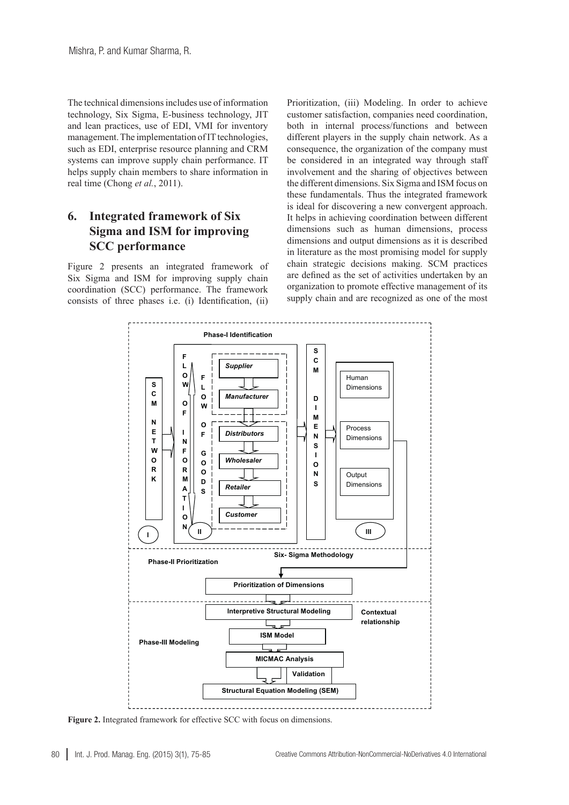The technical dimensions includes use of information technology, Six Sigma, E-business technology, JIT and lean practices, use of EDI, VMI for inventory management. The implementation of IT technologies, such as EDI, enterprise resource planning and CRM systems can improve supply chain performance. IT helps supply chain members to share information in real time (Chong *et al.*, 2011).

# **6. Integrated framework of Six Sigma and ISM for improving SCC performance**

Figure 2 presents an integrated framework of Six Sigma and ISM for improving supply chain coordination (SCC) performance. The framework consists of three phases i.e. (i) Identification, (ii)

Prioritization, (iii) Modeling. In order to achieve customer satisfaction, companies need coordination, both in internal process/functions and between different players in the supply chain network. As a consequence, the organization of the company must be considered in an integrated way through staff involvement and the sharing of objectives between the different dimensions. Six Sigma and ISM focus on these fundamentals. Thus the integrated framework is ideal for discovering a new convergent approach. It helps in achieving coordination between different dimensions such as human dimensions, process dimensions and output dimensions as it is described in literature as the most promising model for supply chain strategic decisions making. SCM practices are defined as the set of activities undertaken by an organization to promote effective management of its supply chain and are recognized as one of the most



**Figure 2.** Integrated framework for effective SCC with focus on dimensions.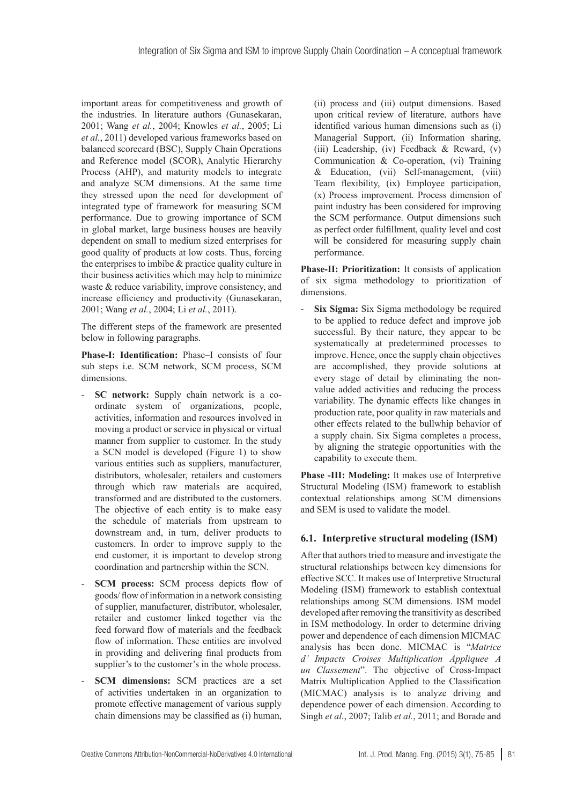important areas for competitiveness and growth of the industries. In literature authors (Gunasekaran, 2001; Wang *et al.*, 2004; Knowles *et al.*, 2005; Li *et al.*, 2011) developed various frameworks based on balanced scorecard (BSC), Supply Chain Operations and Reference model (SCOR), Analytic Hierarchy Process (AHP), and maturity models to integrate and analyze SCM dimensions. At the same time they stressed upon the need for development of integrated type of framework for measuring SCM performance. Due to growing importance of SCM in global market, large business houses are heavily dependent on small to medium sized enterprises for good quality of products at low costs. Thus, forcing the enterprises to imbibe & practice quality culture in their business activities which may help to minimize waste & reduce variability, improve consistency, and increase efficiency and productivity (Gunasekaran, 2001; Wang *et al.*, 2004; Li *et al.*, 2011).

The different steps of the framework are presented below in following paragraphs.

**Phase-I: Identification:** Phase–I consists of four sub steps i.e. SCM network, SCM process, SCM dimensions.

- **SC network:** Supply chain network is a coordinate system of organizations, people, activities, information and resources involved in moving a product or service in physical or virtual manner from supplier to customer. In the study a SCN model is developed (Figure 1) to show various entities such as suppliers, manufacturer, distributors, wholesaler, retailers and customers through which raw materials are acquired, transformed and are distributed to the customers. The objective of each entity is to make easy the schedule of materials from upstream to downstream and, in turn, deliver products to customers. In order to improve supply to the end customer, it is important to develop strong coordination and partnership within the SCN.
- **SCM** process: SCM process depicts flow of goods/ flow of information in a network consisting of supplier, manufacturer, distributor, wholesaler, retailer and customer linked together via the feed forward flow of materials and the feedback flow of information. These entities are involved in providing and delivering final products from supplier's to the customer's in the whole process.
- **SCM** dimensions: SCM practices are a set of activities undertaken in an organization to promote effective management of various supply chain dimensions may be classified as (i) human,

(ii) process and (iii) output dimensions. Based upon critical review of literature, authors have identified various human dimensions such as (i) Managerial Support, (ii) Information sharing, (iii) Leadership, (iv) Feedback & Reward, (v) Communication & Co-operation, (vi) Training & Education, (vii) Self-management, (viii) Team flexibility, (ix) Employee participation, (x) Process improvement. Process dimension of paint industry has been considered for improving the SCM performance. Output dimensions such as perfect order fulfillment, quality level and cost will be considered for measuring supply chain performance.

Phase-II: Prioritization: It consists of application of six sigma methodology to prioritization of dimensions.

- **Six Sigma:** Six Sigma methodology be required to be applied to reduce defect and improve job successful. By their nature, they appear to be systematically at predetermined processes to improve. Hence, once the supply chain objectives are accomplished, they provide solutions at every stage of detail by eliminating the nonvalue added activities and reducing the process variability. The dynamic effects like changes in production rate, poor quality in raw materials and other effects related to the bullwhip behavior of a supply chain. Six Sigma completes a process, by aligning the strategic opportunities with the capability to execute them.

**Phase -III: Modeling:** It makes use of Interpretive Structural Modeling (ISM) framework to establish contextual relationships among SCM dimensions and SEM is used to validate the model.

#### **6.1. Interpretive structural modeling (ISM)**

After that authors tried to measure and investigate the structural relationships between key dimensions for effective SCC. It makes use of Interpretive Structural Modeling (ISM) framework to establish contextual relationships among SCM dimensions. ISM model developed after removing the transitivity as described in ISM methodology. In order to determine driving power and dependence of each dimension MICMAC analysis has been done. MICMAC is "*Matrice d' Impacts Croises Multiplication Appliquee A un Classement*". The objective of Cross-Impact Matrix Multiplication Applied to the Classification (MICMAC) analysis is to analyze driving and dependence power of each dimension. According to Singh *et al.*, 2007; Talib *et al.*, 2011; and Borade and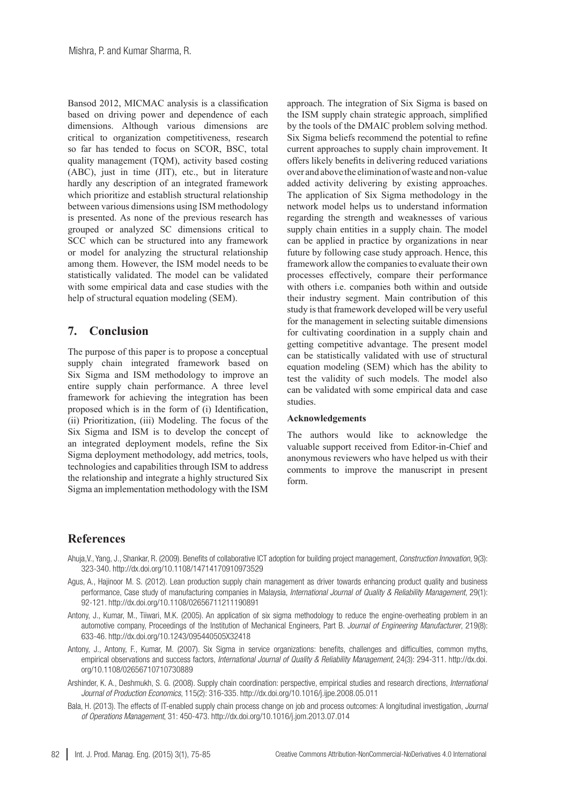Bansod 2012, MICMAC analysis is a classification based on driving power and dependence of each dimensions. Although various dimensions are critical to organization competitiveness, research so far has tended to focus on SCOR, BSC, total quality management (TQM), activity based costing (ABC), just in time (JIT), etc., but in literature hardly any description of an integrated framework which prioritize and establish structural relationship between various dimensions using ISM methodology is presented. As none of the previous research has grouped or analyzed SC dimensions critical to SCC which can be structured into any framework or model for analyzing the structural relationship among them. However, the ISM model needs to be statistically validated. The model can be validated with some empirical data and case studies with the help of structural equation modeling (SEM).

## **7. Conclusion**

The purpose of this paper is to propose a conceptual supply chain integrated framework based on Six Sigma and ISM methodology to improve an entire supply chain performance. A three level framework for achieving the integration has been proposed which is in the form of (i) Identification, (ii) Prioritization, (iii) Modeling. The focus of the Six Sigma and ISM is to develop the concept of an integrated deployment models, refine the Six Sigma deployment methodology, add metrics, tools, technologies and capabilities through ISM to address the relationship and integrate a highly structured Six Sigma an implementation methodology with the ISM

approach. The integration of Six Sigma is based on the ISM supply chain strategic approach, simplified by the tools of the DMAIC problem solving method. Six Sigma beliefs recommend the potential to refine current approaches to supply chain improvement. It offers likely benefits in delivering reduced variations over and above the elimination of waste and non-value added activity delivering by existing approaches. The application of Six Sigma methodology in the network model helps us to understand information regarding the strength and weaknesses of various supply chain entities in a supply chain. The model can be applied in practice by organizations in near future by following case study approach. Hence, this framework allow the companies to evaluate their own processes effectively, compare their performance with others i.e. companies both within and outside their industry segment. Main contribution of this study is that framework developed will be very useful for the management in selecting suitable dimensions for cultivating coordination in a supply chain and getting competitive advantage. The present model can be statistically validated with use of structural equation modeling (SEM) which has the ability to test the validity of such models. The model also can be validated with some empirical data and case studies.

#### **Acknowledgements**

The authors would like to acknowledge the valuable support received from Editor-in-Chief and anonymous reviewers who have helped us with their comments to improve the manuscript in present form.

## **References**

- Ahuja,V., Yang, J., Shankar, R. (2009). Benefits of collaborative ICT adoption for building project management, *Construction Innovation*, 9(3): 323-340. <http://dx.doi.org/10.1108/14714170910973529>
- Agus, A., Hajinoor M. S. (2012). Lean production supply chain management as driver towards enhancing product quality and business performance, Case study of manufacturing companies in Malaysia, *International Journal of Quality & Reliability Management*, 29(1): 92-121. <http://dx.doi.org/10.1108/02656711211190891>
- Antony, J., Kumar, M., Tiiwari, M.K. (2005). An application of six sigma methodology to reduce the engine-overheating problem in an automotive company, Proceedings of the Institution of Mechanical Engineers, Part B. *Journal of Engineering Manufacturer*, 219(8): 633-46. <http://dx.doi.org/10.1243/095440505X32418>
- Antony, J., Antony, F., Kumar, M. (2007). Six Sigma in service organizations: benefits, challenges and difficulties, common myths, empirical observations and success factors, *International Journal of Quality & Reliability Management*, 24(3): 294-311. [http://dx.doi.](http://dx.doi.org/10.1108/02656710710730889) [org/10.1108/02656710710730889](http://dx.doi.org/10.1108/02656710710730889)
- Arshinder, K. A., Deshmukh, S. G. (2008). Supply chain coordination: perspective, empirical studies and research directions, *International Journal of Production Economics*, 115(2): 316-335.<http://dx.doi.org/10.1016/j.ijpe.2008.05.011>
- Bala, H. (2013). The effects of IT-enabled supply chain process change on job and process outcomes: A longitudinal investigation, *Journal of Operations Management*, 31: 450-473.<http://dx.doi.org/10.1016/j.jom.2013.07.014>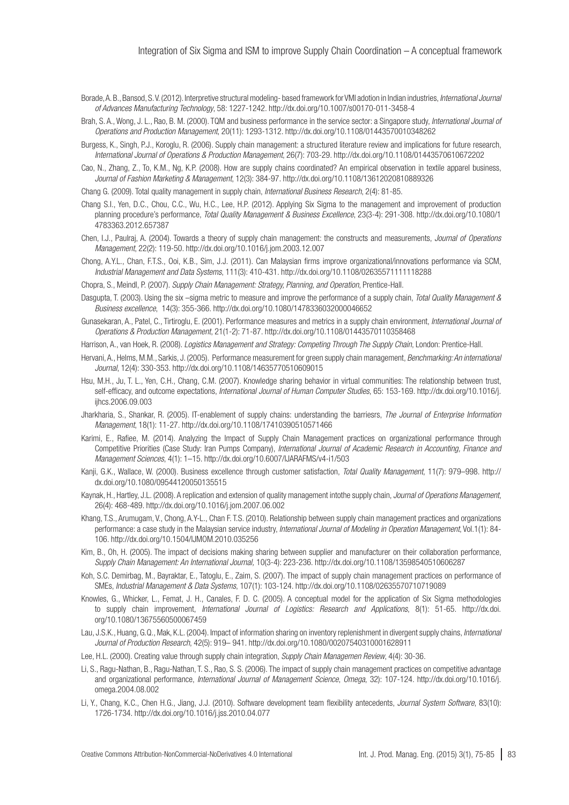Borade, A. B., Bansod, S. V. (2012). Interpretive structural modeling- based framework for VMI adotion in Indian industries, *International Journal of Advances Manufacturing Technology*, 58: 1227-1242. [http://dx.doi.org/10.1007/s00170](http://dx.doi.org/10.1007/s00170-011-3458-4)-011-3458-4

- Brah, S. A., Wong, J. L., Rao, B. M. (2000). TQM and business performance in the service sector: a Singapore study, *International Journal of Operations and Production Management*, 20(11): 1293-1312. <http://dx.doi.org/10.1108/01443570010348262>
- Burgess, K., Singh, P.J., Koroglu, R. (2006). Supply chain management: a structured literature review and implications for future research, *International Journal of Operations & Production Management*, 26(7): 703-29.<http://dx.doi.org/10.1108/01443570610672202>
- Cao, N., Zhang, Z., To, K.M., Ng, K.P. (2008). How are supply chains coordinated? An empirical observation in textile apparel business, *Journal of Fashion Marketing & Management*, 12(3): 384-97.<http://dx.doi.org/10.1108/13612020810889326>

Chang G. (2009). Total quality management in supply chain, *International Business Research*, 2(4): 81-85.

- Chang S.I., Yen, D.C., Chou, C.C., Wu, H.C., Lee, H.P. (2012). Applying Six Sigma to the management and improvement of production planning procedure's performance, *Total Quality Management & Business Excellence*, 23(3-4): 291-308. [http://dx.doi.org/10.1080/1](http://dx.doi.org/10.1080/14783363.2012.657387) [4783363.2012.657387](http://dx.doi.org/10.1080/14783363.2012.657387)
- Chen, I.J., Paulraj, A. (2004). Towards a theory of supply chain management: the constructs and measurements, *Journal of Operations Management*, 22(2): 119-50. <http://dx.doi.org/10.1016/j.jom.2003.12.007>
- Chong, A.Y.L., Chan, F.T.S., Ooi, K.B., Sim, J.J. (2011). Can Malaysian firms improve organizational/innovations performance via SCM, *Industrial Management and Data Systems*, 111(3): 410-431.<http://dx.doi.org/10.1108/02635571111118288>

Chopra, S., Meindl, P. (2007). *Supply Chain Management: Strategy, Planning, and Operation*, Prentice-Hall.

Dasgupta, T. (2003). Using the six –sigma metric to measure and improve the performance of a supply chain, *Total Quality Management & Business excellence*, 14(3): 355-366.<http://dx.doi.org/10.1080/1478336032000046652>

Gunasekaran, A., Patel, C., Tirtiroglu, E. (2001). Performance measures and metrics in a supply chain environment, *International Journal of Operations & Production Management*, 21(1-2): 71-87.<http://dx.doi.org/10.1108/01443570110358468>

Harrison, A., van Hoek, R. (2008). *[Logistics Management and Strategy: Competing Through The Supply Chain](http://www.husdal.com/2007/09/01/book-review-logistics-management-and-strategy/)*, London: Prentice-Hall.

- Hervani, A., Helms, M.M., Sarkis, J. (2005). Performance measurement for green supply chain management, *Benchmarking: An international Journal*, 12(4): 330-353. <http://dx.doi.org/10.1108/14635770510609015>
- Hsu, M.H., Ju, T. L., Yen, C.H., Chang, C.M. (2007). Knowledge sharing behavior in virtual communities: The relationship between trust, self-efficacy, and outcome expectations, *International Journal of Human Computer Studies*, 65: 153-169. [http://dx.doi.org/10.1016/j.](http://dx.doi.org/10.1016/j.ijhcs.2006.09.003) [ijhcs.2006.09.003](http://dx.doi.org/10.1016/j.ijhcs.2006.09.003)
- Jharkharia, S., Shankar, R. (2005). IT-enablement of supply chains: understanding the barriesrs, *The Journal of Enterprise Information Management*, 18(1): 11-27.<http://dx.doi.org/10.1108/17410390510571466>
- Karimi, E., Rafiee, M. (2014). Analyzing the Impact of Supply Chain Management practices on organizational performance through Competitive Priorities (Case Study: Iran Pumps Company), *International Journal of Academic Research in Accounting, Finance and Management Sciences*, 4(1): 1–15. <http://dx.doi.org/10.6007/IJARAFMS/v4-i1/503>
- Kanji, G.K., Wallace, W. (2000). Business excellence through customer satisfaction, *Total Quality Management*, 11(7): 979–998. [http://](http://dx.doi.org/10.1080/09544120050135515) [dx.doi.org/10.1080/09544120050135515](http://dx.doi.org/10.1080/09544120050135515)
- Kaynak, H., Hartley, J.L. (2008). A replication and extension of quality management intothe supply chain, *Journal of Operations Management*, 26(4): 468-489.<http://dx.doi.org/10.1016/j.jom.2007.06.002>
- Khang, T.S., Arumugam, V., Chong, A.Y-L., Chan F. T.S. (2010). Relationship between supply chain management practices and organizations performance: a case study in the Malaysian service industry, *International Journal of Modeling in Operation Management*, Vol.1(1): 84- 106.<http://dx.doi.org/10.1504/IJMOM.2010.035256>
- Kim, B., Oh, H. (2005). The impact of decisions making sharing between supplier and manufacturer on their collaboration performance, *Supply Chain Management: An International Journal,* 10(3-4): 223-236.<http://dx.doi.org/10.1108/13598540510606287>
- Koh, S.C. Demirbag, M., Bayraktar, E., Tatoglu, E., Zaim, S. (2007). The impact of supply chain management practices on performance of SMEs, *Industrial Management & Data Systems*, 107(1): 103-124.<http://dx.doi.org/10.1108/02635570710719089>
- Knowles, G., Whicker, L., Femat, J. H., Canales, F. D. C. (2005). A conceptual model for the application of Six Sigma methodologies to supply chain improvement, *International Journal of Logistics: Research and Applications*, 8(1): 51-65. [http://dx.doi.](http://dx.doi.org/10.1080/13675560500067459) [org/10.1080/13675560500067459](http://dx.doi.org/10.1080/13675560500067459)
- Lau, J.S.K., Huang, G.Q., Mak, K.L. (2004). Impact of information sharing on inventory replenishment in divergent supply chains, *International Journal of Production Research*, 42(5): 919– 941.<http://dx.doi.org/10.1080/00207540310001628911>
- Lee, H.L. (2000). Creating value through supply chain integration, *Supply Chain Managemen Review*, 4(4): 30-36.
- Li, S., Ragu-Nathan, B., Ragu-Nathan, T. S., Rao, S. S. (2006). The impact of supply chain management practices on competitive advantage and organizational performance, *International Journal of Management Science*, *Omega*, 32): 107-124. [http://dx.doi.org/10.1016/j.](http://dx.doi.org/10.1016/j.omega.2004.08.002) [omega.2004.08.002](http://dx.doi.org/10.1016/j.omega.2004.08.002)
- Li, Y., Chang, K.C., Chen H.G., Jiang, J.J. (2010). Software development team flexibility antecedents, *Journal System Software*, 83(10): 1726-1734. <http://dx.doi.org/10.1016/j.jss.2010.04.077>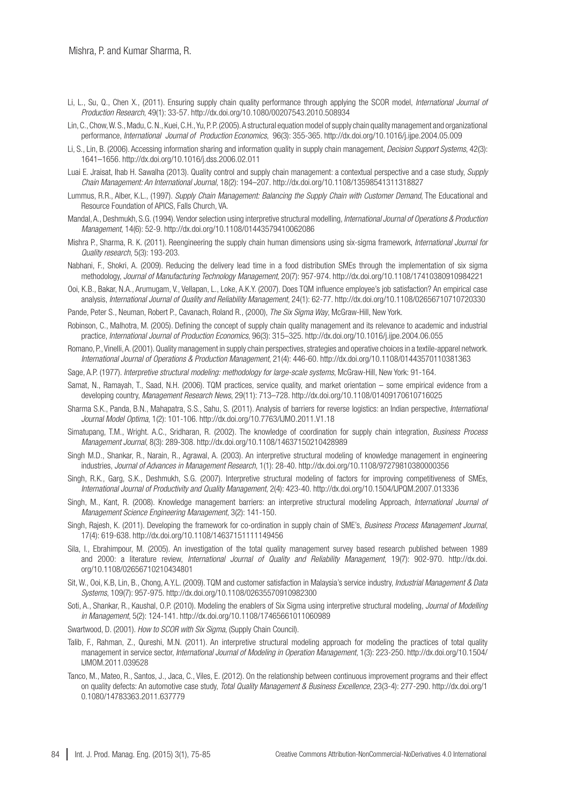- Li, L., Su, Q., Chen X., (2011). Ensuring supply chain quality performance through applying the SCOR model, *International Journal of Production Research*, 49(1): 33-57.<http://dx.doi.org/10.1080/00207543.2010.508934>
- Lin, C., Chow, W. S., Madu, C. N., Kuei, C.H., Yu, P. P. (2005). A structural equation model of supply chain quality management and organizational performance, *International Journal of Production Economics*, 96(3): 355-365.<http://dx.doi.org/10.1016/j.ijpe.2004.05.009>
- Li, S., Lin, B. (2006). Accessing information sharing and information quality in supply chain management, *Decision Support Systems*, 42(3): 1641–1656.<http://dx.doi.org/10.1016/j.dss.2006.02.011>
- Luai E. Jraisat, Ihab H. Sawalha (2013). Quality control and supply chain management: a contextual perspective and a case study, *Supply Chain Management: An International Journal*, 18(2): 194–207. <http://dx.doi.org/10.1108/13598541311318827>
- Lummus, R.R., Alber, K.L., (1997). *Supply Chain Management: Balancing the Supply Chain with Customer Demand*, The Educational and Resource Foundation of APICS, Falls Church, VA.
- Mandal, A., Deshmukh, S.G. (1994). Vendor selection using interpretive structural modelling, *International Journal of Operations & Production Management*, 14(6): 52-9. <http://dx.doi.org/10.1108/01443579410062086>
- Mishra P., Sharma, R. K. (2011). Reengineering the supply chain human dimensions using six-sigma framework, *International Journal for Quality research*, 5(3): 193-203.
- Nabhani, F., Shokri, A. (2009). Reducing the delivery lead time in a food distribution SMEs through the implementation of six sigma methodology, *Journal of Manufacturing Technology Management*, 20(7): 957-974.<http://dx.doi.org/10.1108/17410380910984221>
- Ooi, K.B., Bakar, N.A., Arumugam, V., Vellapan, L., Loke, A.K.Y. (2007). Does TQM influence employee's job satisfaction? An empirical case analysis, *International Journal of Quality and Reliability Management*, 24(1): 62-77.<http://dx.doi.org/10.1108/02656710710720330>
- Pande, Peter S., Neuman, Robert P., Cavanach, Roland R., (2000), *The Six Sigma Way*, McGraw-Hill, New York.
- Robinson, C., Malhotra, M. (2005). Defining the concept of supply chain quality management and its relevance to academic and industrial practice, *International Journal of Production Economics*, 96(3): 315–325.<http://dx.doi.org/10.1016/j.ijpe.2004.06.055>
- Romano, P., Vinelli, A. (2001). Quality management in supply chain perspectives, strategies and operative choices in a textile-apparel network. *International Journal of Operations & Production Management*, 21(4): 446-60.<http://dx.doi.org/10.1108/01443570110381363>
- Sage, A.P. (1977). *Interpretive structural modeling: methodology for large-scale systems*, McGraw-Hill, New York: 91-164.
- Samat, N., Ramayah, T., Saad, N.H. (2006). TQM practices, service quality, and market orientation some empirical evidence from a developing country, *Management Research News*, 29(11): 713–728.<http://dx.doi.org/10.1108/01409170610716025>
- Sharma S.K., Panda, B.N., Mahapatra, S.S., Sahu, S. (2011). Analysis of barriers for reverse logistics: an Indian perspective, *International Journal Model Optima*, 1(2): 101-106. <http://dx.doi.org/10.7763/IJMO.2011.V1.18>
- Simatupang, T.M., Wright. A.C., Sridharan, R. (2002). The knowledge of coordination for supply chain integration, *Business Process Management Journal*, 8(3): 289-308.<http://dx.doi.org/10.1108/14637150210428989>
- Singh M.D., Shankar, R., Narain, R., Agrawal, A. (2003). An interpretive structural modeling of knowledge management in engineering industries, *Journal of Advances in Management Research*, 1(1): 28-40. <http://dx.doi.org/10.1108/97279810380000356>
- Singh, R.K., Garg, S.K., Deshmukh, S.G. (2007). Interpretive structural modeling of factors for improving competitiveness of SMEs, *International Journal of Productivity and Quality Management*, 2(4): 423-40. <http://dx.doi.org/10.1504/IJPQM.2007.013336>
- Singh, M., Kant, R. (2008). Knowledge management barriers: an interpretive structural modeling Approach, *International Journal of Management Science Engineering Management*, 3(2): 141-150.
- Singh, Rajesh, K. (2011). Developing the framework for co-ordination in supply chain of SME's, *Business Process Management Journal*, 17(4): 619-638. <http://dx.doi.org/10.1108/14637151111149456>
- Sila, I., Ebrahimpour, M. (2005). An investigation of the total quality management survey based research published between 1989 and 2000: a literature review, *International Journal of Quality and Reliability Management*, 19(7): 902-970. [http://dx.doi.](http://dx.doi.org/10.1108/02656710210434801) [org/10.1108/02656710210434801](http://dx.doi.org/10.1108/02656710210434801)
- Sit, W., Ooi, K.B, Lin, B., Chong, A.Y.L. (2009). TQM and customer satisfaction in Malaysia's service industry, *Industrial Management & Data Systems*, 109(7): 957-975.<http://dx.doi.org/10.1108/02635570910982300>
- Soti, A., Shankar, R., Kaushal, O.P. (2010). Modeling the enablers of Six Sigma using interpretive structural modeling, *Journal of Modelling in Management*, 5(2): 124-141.<http://dx.doi.org/10.1108/17465661011060989>
- Swartwood, D. (2001). *How to SCOR with Six Sigma*, (Supply Chain Council).
- Talib, F., Rahman, Z., Qureshi, M.N. (2011). An interpretive structural modeling approach for modeling the practices of total quality management in service sector, *International Journal of Modeling in Operation Management*, 1(3): 223-250. [http://dx.doi.org/10.1504/](http://dx.doi.org/10.1504/IJMOM.2011.039528) [IJMOM.2011.039528](http://dx.doi.org/10.1504/IJMOM.2011.039528)
- Tanco, M., Mateo, R., Santos, J., Jaca, C., Viles, E. (2012). On the relationship between continuous improvement programs and their effect on quality defects: An automotive case study, *Total Quality Management & Business Excellence*, 23(3-4): 277-290. [http://dx.doi.org/1](http://dx.doi.org/10.1080/14783363.2011.637779) [0.1080/14783363.2011.637779](http://dx.doi.org/10.1080/14783363.2011.637779)